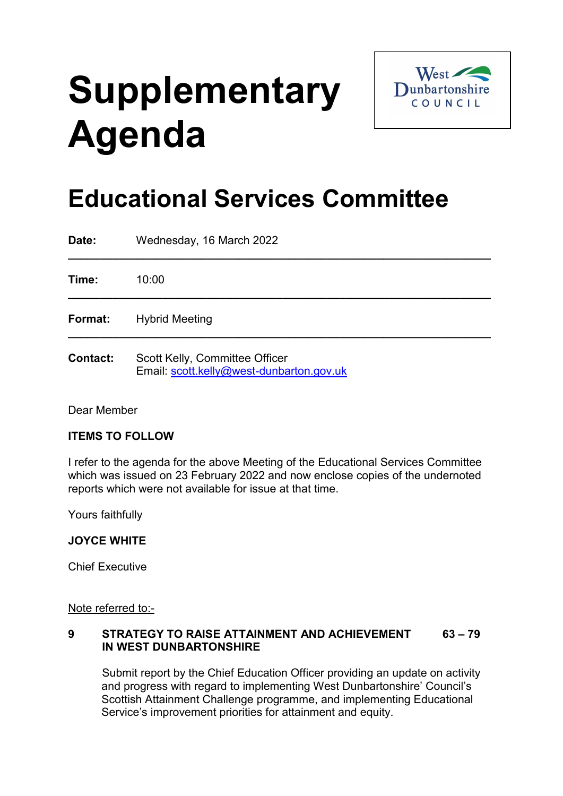# **Supplementary Agenda**



## **Educational Services Committee**

| Date:           | Wednesday, 16 March 2022                                                   |
|-----------------|----------------------------------------------------------------------------|
| Time:           | 10:00                                                                      |
| Format:         | <b>Hybrid Meeting</b>                                                      |
| <b>Contact:</b> | Scott Kelly, Committee Officer<br>Email: scott.kelly@west-dunbarton.gov.uk |

Dear Member

### **ITEMS TO FOLLOW**

I refer to the agenda for the above Meeting of the Educational Services Committee which was issued on 23 February 2022 and now enclose copies of the undernoted reports which were not available for issue at that time.

Yours faithfully

#### **JOYCE WHITE**

Chief Executive

Note referred to:-

#### **9 STRATEGY TO RAISE ATTAINMENT AND ACHIEVEMENT 63 – 79 IN WEST DUNBARTONSHIRE**

Submit report by the Chief Education Officer providing an update on activity and progress with regard to implementing West Dunbartonshire' Council's Scottish Attainment Challenge programme, and implementing Educational Service's improvement priorities for attainment and equity.